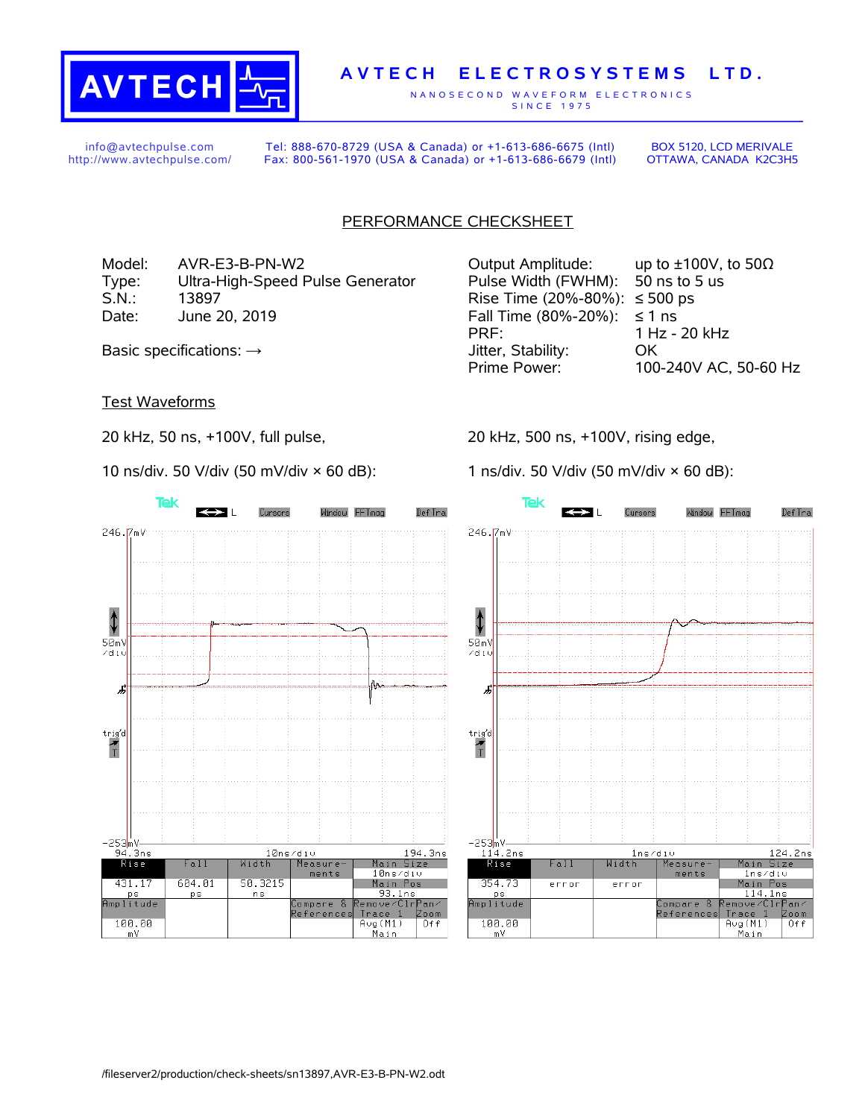

# **A V T E C H E L E C T R O S Y S T E M S L T D .**

N A N O S E C O N D W A V E F O R M E L E C T R O N I C S S IN C E 1975

info@avtechpulse.com http://www.avtechpulse.com/

Tel: 888-670-8729 (USA & Canada) or +1-613-686-6675 (Intl) Fax: 800-561-1970 (USA & Canada) or +1-613-686-6679 (Intl)

BOX 5120, LCD MERIVALE OTTAWA, CANADA K2C3H5

## PERFORMANCE CHECKSHEET

Model: AVR-E3-B-PN-W2 Output Amplitude: up to ±100V, to 50Ω Type: Ultra-High-Speed Pulse Generator Pulse Width (FWHM): 50 ns to 5 us S.N.: 13897 Rise Time (20%-80%): ≤ 500 ps Date: June 20, 2019  $\blacksquare$  Fall Time (80%-20%): ≤ 1 ns

#### Test Waveforms

20 kHz, 50 ns, +100V, full pulse,

10 ns/div. 50 V/div (50 mV/div × 60 dB):



PRF: 1 Hz - 20 kHz Basic specifications: → Jitter, Stability: OK Prime Power: 100-240V AC, 50-60 Hz

20 kHz, 500 ns, +100V, rising edge,

1 ns/div. 50 V/div (50 mV/div × 60 dB):

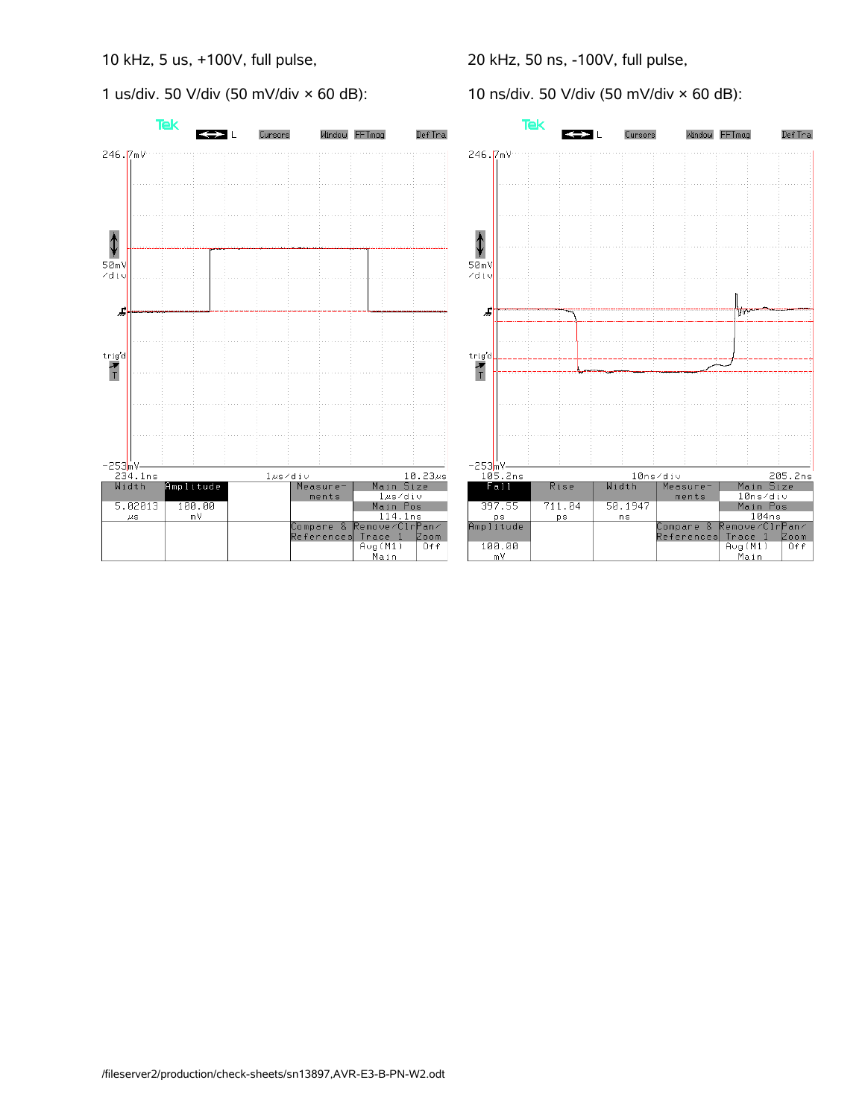### 10 kHz, 5 us, +100V, full pulse,

1 us/div. 50 V/div (50 mV/div  $\times$  60 dB):



10 ns/div. 50 V/div (50 mV/div × 60 dB):

Window FFTmag

١₩

205.2ns<br>Main Size<br>10ns/div

Main Pos

194ns<br>
Remove/ClrPan/<br>
Trace 1 Zoom<br>
Avg(M1) Off<br>
Main

Measure

ments

.<br>Compare &<br>References

Def Tra